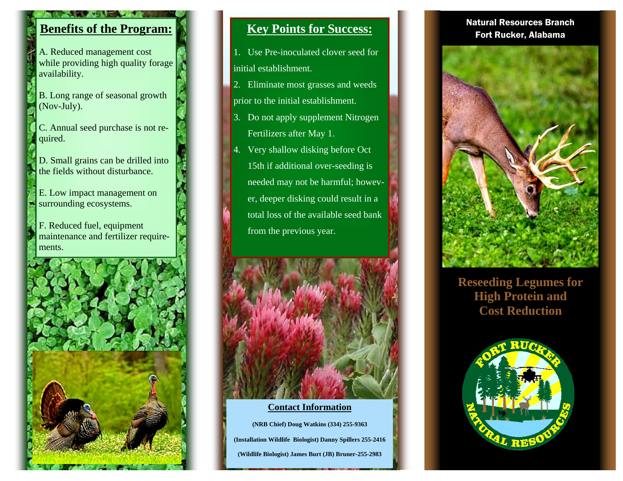# **Benefits of the Program:**

A. Reduced management cost while providing high quality forage availability.

- B. Long range of seasonal growth (Nov-July).
- C. Annual seed purchase is not required.
- D. Small grains can be drilled into the fields without disturbance.
- E. Low impact management on surrounding ecosystems.
- F. Reduced fuel, equipment maintenance and fertilizer requirements.



## **Key Points for Success:**

- 1. Use Pre-inoculated clover seed for initial establishment.
- 2. Eliminate most grasses and weeds prior to the initial establishment.
- 3. Do not apply supplement Nitrogen Fertilizers after May 1.
- 4. Very shallow disking before Oct 15th if additional over-seeding is needed may not be harmful; however, deeper disking could result in a total loss of the available seed bank from the previous year.



### **Contact Information**

**(NRB Chief) Doug Watkins (334) 255-9363 (Installation Wildlife Biologist) Danny Spillers 255-2416 (Wildlife Biologist) James Burt (JB) Bruner-255-2983** 

## Natural Resources Branch Fort Rucker, Alabama



**Reseeding Legumes for High Protein and Cost Reduction**